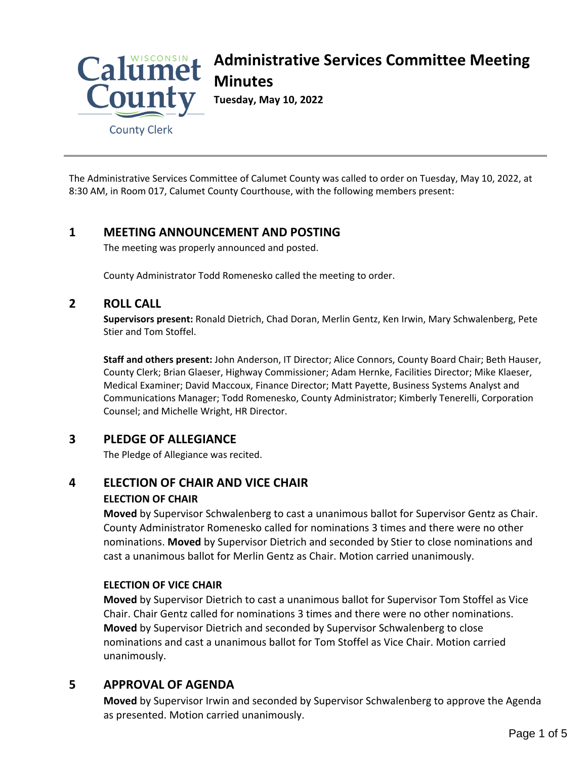

**County Clerk** 

The Administrative Services Committee of Calumet County was called to order on Tuesday, May 10, 2022, at 8:30 AM, in Room 017, Calumet County Courthouse, with the following members present:

# **1 MEETING ANNOUNCEMENT AND POSTING**

The meeting was properly announced and posted.

County Administrator Todd Romenesko called the meeting to order.

#### **2 ROLL CALL**

**Supervisors present:** Ronald Dietrich, Chad Doran, Merlin Gentz, Ken Irwin, Mary Schwalenberg, Pete Stier and Tom Stoffel.

**Staff and others present:** John Anderson, IT Director; Alice Connors, County Board Chair; Beth Hauser, County Clerk; Brian Glaeser, Highway Commissioner; Adam Hernke, Facilities Director; Mike Klaeser, Medical Examiner; David Maccoux, Finance Director; Matt Payette, Business Systems Analyst and Communications Manager; Todd Romenesko, County Administrator; Kimberly Tenerelli, Corporation Counsel; and Michelle Wright, HR Director.

## **3 PLEDGE OF ALLEGIANCE**

The Pledge of Allegiance was recited.

# **4 ELECTION OF CHAIR AND VICE CHAIR ELECTION OF CHAIR**

**Moved** by Supervisor Schwalenberg to cast a unanimous ballot for Supervisor Gentz as Chair. County Administrator Romenesko called for nominations 3 times and there were no other nominations. **Moved** by Supervisor Dietrich and seconded by Stier to close nominations and cast a unanimous ballot for Merlin Gentz as Chair. Motion carried unanimously.

## **ELECTION OF VICE CHAIR**

**Moved** by Supervisor Dietrich to cast a unanimous ballot for Supervisor Tom Stoffel as Vice Chair. Chair Gentz called for nominations 3 times and there were no other nominations. **Moved** by Supervisor Dietrich and seconded by Supervisor Schwalenberg to close nominations and cast a unanimous ballot for Tom Stoffel as Vice Chair. Motion carried unanimously.

# **5 APPROVAL OF AGENDA**

**Moved** by Supervisor Irwin and seconded by Supervisor Schwalenberg to approve the Agenda as presented. Motion carried unanimously.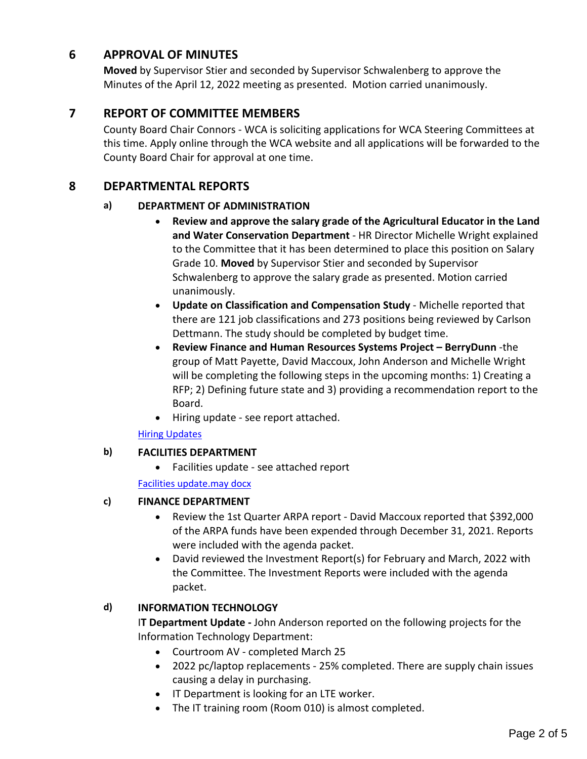# **6 APPROVAL OF MINUTES**

**Moved** by Supervisor Stier and seconded by Supervisor Schwalenberg to approve the Minutes of the April 12, 2022 meeting as presented. Motion carried unanimously.

# **7 REPORT OF COMMITTEE MEMBERS**

County Board Chair Connors - WCA is soliciting applications for WCA Steering Committees at this time. Apply online through the WCA website and all applications will be forwarded to the County Board Chair for approval at one time.

# **8 DEPARTMENTAL REPORTS**

## **a) DEPARTMENT OF ADMINISTRATION**

- **Review and approve the salary grade of the Agricultural Educator in the Land and Water Conservation Department** - HR Director Michelle Wright explained to the Committee that it has been determined to place this position on Salary Grade 10. **Moved** by Supervisor Stier and seconded by Supervisor Schwalenberg to approve the salary grade as presented. Motion carried unanimously.
- **Update on Classification and Compensation Study** Michelle reported that there are 121 job classifications and 273 positions being reviewed by Carlson Dettmann. The study should be completed by budget time.
- **Review Finance and Human Resources Systems Project BerryDunn** -the group of Matt Payette, David Maccoux, John Anderson and Michelle Wright will be completing the following steps in the upcoming months: 1) Creating a RFP; 2) Defining future state and 3) providing a recommendation report to the Board.
- Hiring update see report attached.

[Hiring Updates](#page-3-0)

## **b) FACILITIES DEPARTMENT**

Facilities update - see attached report

[Facilities update.may docx](#page-4-0)

## **c) FINANCE DEPARTMENT**

- Review the 1st Quarter ARPA report David Maccoux reported that \$392,000 of the ARPA funds have been expended through December 31, 2021. Reports were included with the agenda packet.
- David reviewed the Investment Report(s) for February and March, 2022 with the Committee. The Investment Reports were included with the agenda packet.

## **d) INFORMATION TECHNOLOGY**

I**T Department Update -** John Anderson reported on the following projects for the Information Technology Department:

- Courtroom AV completed March 25
- 2022 pc/laptop replacements 25% completed. There are supply chain issues causing a delay in purchasing.
- IT Department is looking for an LTE worker.
- The IT training room (Room 010) is almost completed.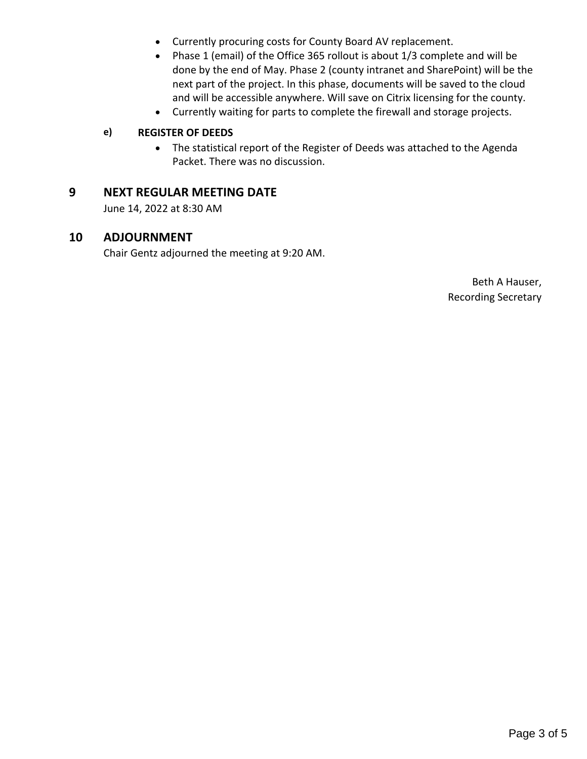- Currently procuring costs for County Board AV replacement.
- Phase 1 (email) of the Office 365 rollout is about 1/3 complete and will be done by the end of May. Phase 2 (county intranet and SharePoint) will be the next part of the project. In this phase, documents will be saved to the cloud and will be accessible anywhere. Will save on Citrix licensing for the county.
- Currently waiting for parts to complete the firewall and storage projects.

## **e) REGISTER OF DEEDS**

 The statistical report of the Register of Deeds was attached to the Agenda Packet. There was no discussion.

# **9 NEXT REGULAR MEETING DATE**

June 14, 2022 at 8:30 AM

## **10 ADJOURNMENT**

Chair Gentz adjourned the meeting at 9:20 AM.

Beth A Hauser, Recording Secretary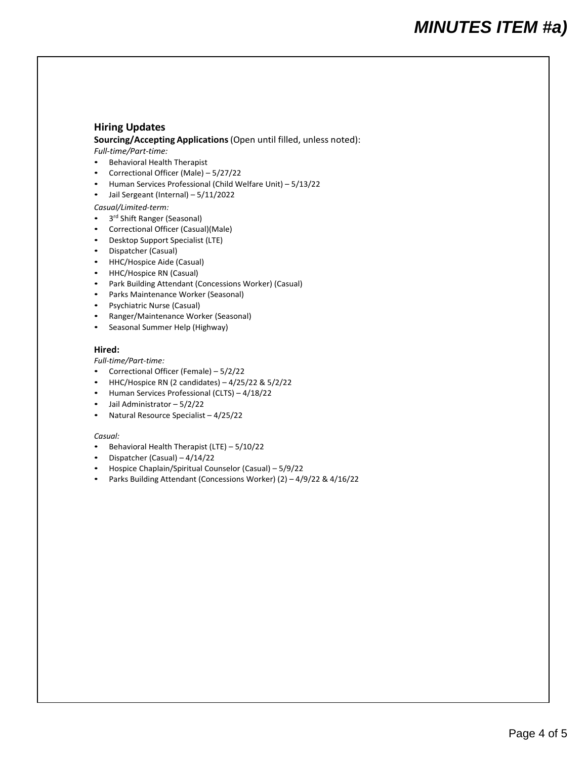#### <span id="page-3-0"></span>**Hiring Updates**

**Sourcing/Accepting Applications** (Open until filled, unless noted):

#### *Full‐time/Part‐time:*

- Behavioral Health Therapist
- Correctional Officer (Male) 5/27/22
- Human Services Professional (Child Welfare Unit) 5/13/22
- Jail Sergeant (Internal) 5/11/2022

#### *Casual/Limited‐term:*

- 3<sup>rd</sup> Shift Ranger (Seasonal)
- Correctional Officer (Casual)(Male)
- Desktop Support Specialist (LTE)
- Dispatcher (Casual)
- HHC/Hospice Aide (Casual)
- HHC/Hospice RN (Casual)
- Park Building Attendant (Concessions Worker) (Casual)
- Parks Maintenance Worker (Seasonal)
- Psychiatric Nurse (Casual)
- Ranger/Maintenance Worker (Seasonal)
- Seasonal Summer Help (Highway)

#### **Hired:**

#### *Full‐time/Part‐time:*

- Correctional Officer (Female) 5/2/22
- HHC/Hospice RN (2 candidates)  $-4/25/22$  &  $5/2/22$
- Human Services Professional (CLTS) 4/18/22
- Jail Administrator 5/2/22
- Natural Resource Specialist 4/25/22

#### *Casual:*

- Behavioral Health Therapist (LTE) 5/10/22
- Dispatcher (Casual) 4/14/22
- Hospice Chaplain/Spiritual Counselor (Casual) 5/9/22
- Parks Building Attendant (Concessions Worker) (2) 4/9/22 & 4/16/22